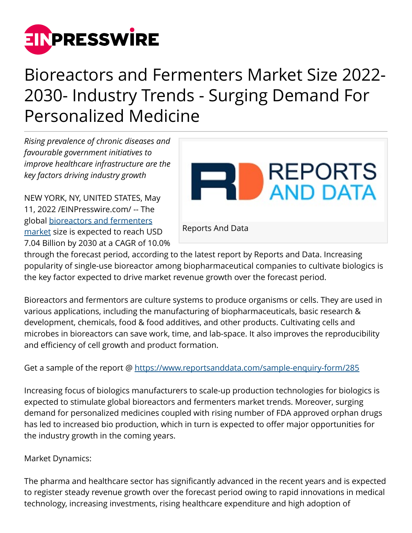

# Bioreactors and Fermenters Market Size 2022- 2030- Industry Trends - Surging Demand For Personalized Medicine

*Rising prevalence of chronic diseases and favourable government initiatives to improve healthcare infrastructure are the key factors driving industry growth* 

NEW YORK, NY, UNITED STATES, May 11, 2022 /[EINPresswire.com/](http://www.einpresswire.com) -- The global [bioreactors and fermenters](https://www.reportsanddata.com/report-detail/bioreactors-and-fermenters-market) [market](https://www.reportsanddata.com/report-detail/bioreactors-and-fermenters-market) size is expected to reach USD 7.04 Billion by 2030 at a CAGR of 10.0%



through the forecast period, according to the latest report by Reports and Data. Increasing popularity of single-use bioreactor among biopharmaceutical companies to cultivate biologics is the key factor expected to drive market revenue growth over the forecast period.

Bioreactors and fermentors are culture systems to produce organisms or cells. They are used in various applications, including the manufacturing of biopharmaceuticals, basic research & development, chemicals, food & food additives, and other products. Cultivating cells and microbes in bioreactors can save work, time, and lab-space. It also improves the reproducibility and efficiency of cell growth and product formation.

Get a sample of the report @<https://www.reportsanddata.com/sample-enquiry-form/285>

Increasing focus of biologics manufacturers to scale-up production technologies for biologics is expected to stimulate global bioreactors and fermenters market trends. Moreover, surging demand for personalized medicines coupled with rising number of FDA approved orphan drugs has led to increased bio production, which in turn is expected to offer major opportunities for the industry growth in the coming years.

## Market Dynamics:

The pharma and healthcare sector has significantly advanced in the recent years and is expected to register steady revenue growth over the forecast period owing to rapid innovations in medical technology, increasing investments, rising healthcare expenditure and high adoption of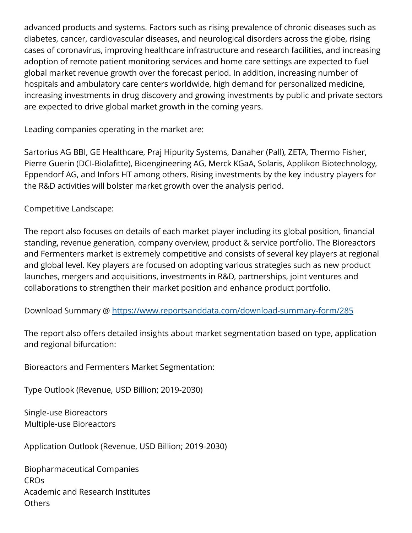advanced products and systems. Factors such as rising prevalence of chronic diseases such as diabetes, cancer, cardiovascular diseases, and neurological disorders across the globe, rising cases of coronavirus, improving healthcare infrastructure and research facilities, and increasing adoption of remote patient monitoring services and home care settings are expected to fuel global market revenue growth over the forecast period. In addition, increasing number of hospitals and ambulatory care centers worldwide, high demand for personalized medicine, increasing investments in drug discovery and growing investments by public and private sectors are expected to drive global market growth in the coming years.

Leading companies operating in the market are:

Sartorius AG BBI, GE Healthcare, Praj Hipurity Systems, Danaher (Pall), ZETA, Thermo Fisher, Pierre Guerin (DCI-Biolafitte), Bioengineering AG, Merck KGaA, Solaris, Applikon Biotechnology, Eppendorf AG, and Infors HT among others. Rising investments by the key industry players for the R&D activities will bolster market growth over the analysis period.

Competitive Landscape:

The report also focuses on details of each market player including its global position, financial standing, revenue generation, company overview, product & service portfolio. The Bioreactors and Fermenters market is extremely competitive and consists of several key players at regional and global level. Key players are focused on adopting various strategies such as new product launches, mergers and acquisitions, investments in R&D, partnerships, joint ventures and collaborations to strengthen their market position and enhance product portfolio.

Download Summary @ <https://www.reportsanddata.com/download-summary-form/285>

The report also offers detailed insights about market segmentation based on type, application and regional bifurcation:

Bioreactors and Fermenters Market Segmentation:

Type Outlook (Revenue, USD Billion; 2019-2030)

Single-use Bioreactors Multiple-use Bioreactors

Application Outlook (Revenue, USD Billion; 2019-2030)

Biopharmaceutical Companies CROs Academic and Research Institutes **Others**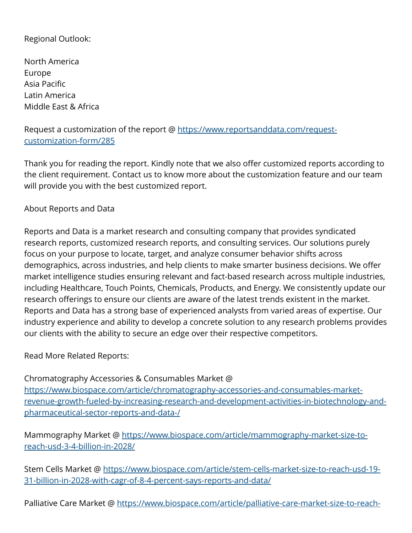### Regional Outlook:

North America Europe Asia Pacific Latin America Middle East & Africa

Request a customization of the report @ [https://www.reportsanddata.com/request](https://www.reportsanddata.com/request-customization-form/285)[customization-form/285](https://www.reportsanddata.com/request-customization-form/285)

Thank you for reading the report. Kindly note that we also offer customized reports according to the client requirement. Contact us to know more about the customization feature and our team will provide you with the best customized report.

#### About Reports and Data

Reports and Data is a market research and consulting company that provides syndicated research reports, customized research reports, and consulting services. Our solutions purely focus on your purpose to locate, target, and analyze consumer behavior shifts across demographics, across industries, and help clients to make smarter business decisions. We offer market intelligence studies ensuring relevant and fact-based research across multiple industries, including Healthcare, Touch Points, Chemicals, Products, and Energy. We consistently update our research offerings to ensure our clients are aware of the latest trends existent in the market. Reports and Data has a strong base of experienced analysts from varied areas of expertise. Our industry experience and ability to develop a concrete solution to any research problems provides our clients with the ability to secure an edge over their respective competitors.

Read More Related Reports:

Chromatography Accessories & Consumables Market @ [https://www.biospace.com/article/chromatography-accessories-and-consumables-market](https://www.biospace.com/article/chromatography-accessories-and-consumables-market-revenue-growth-fueled-by-increasing-research-and-development-activities-in-biotechnology-and-pharmaceutical-sector-reports-and-data-/)[revenue-growth-fueled-by-increasing-research-and-development-activities-in-biotechnology-and](https://www.biospace.com/article/chromatography-accessories-and-consumables-market-revenue-growth-fueled-by-increasing-research-and-development-activities-in-biotechnology-and-pharmaceutical-sector-reports-and-data-/)[pharmaceutical-sector-reports-and-data-/](https://www.biospace.com/article/chromatography-accessories-and-consumables-market-revenue-growth-fueled-by-increasing-research-and-development-activities-in-biotechnology-and-pharmaceutical-sector-reports-and-data-/)

Mammography Market @ [https://www.biospace.com/article/mammography-market-size-to](https://www.biospace.com/article/mammography-market-size-to-reach-usd-3-4-billion-in-2028/)[reach-usd-3-4-billion-in-2028/](https://www.biospace.com/article/mammography-market-size-to-reach-usd-3-4-billion-in-2028/)

Stem Cells Market @ [https://www.biospace.com/article/stem-cells-market-size-to-reach-usd-19-](https://www.biospace.com/article/stem-cells-market-size-to-reach-usd-19-31-billion-in-2028-with-cagr-of-8-4-percent-says-reports-and-data/) [31-billion-in-2028-with-cagr-of-8-4-percent-says-reports-and-data/](https://www.biospace.com/article/stem-cells-market-size-to-reach-usd-19-31-billion-in-2028-with-cagr-of-8-4-percent-says-reports-and-data/)

Palliative Care Market @ [https://www.biospace.com/article/palliative-care-market-size-to-reach-](https://www.biospace.com/article/palliative-care-market-size-to-reach-usd-6-43-billion-in-2028-noted-reports-and-data/)